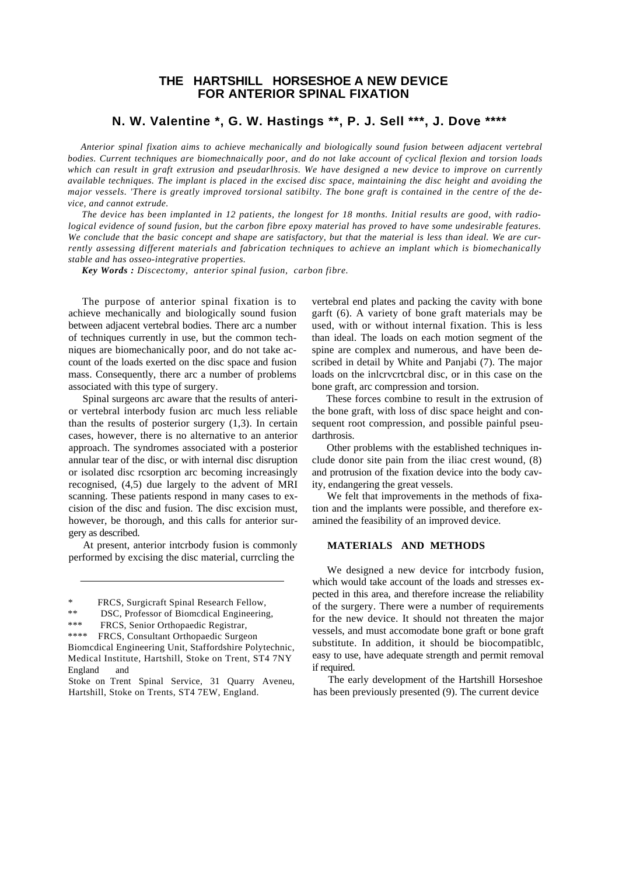## **THE HARTSHILL HORSESHOE A NEW DEVICE FOR ANTERIOR SPINAL FIXATION**

# **N. W. Valentine \*, G. W. Hastings \*\*, P. J. Sell \*\*\*, J. Dove \*\*\*\***

*Anterior spinal fixation aims to achieve mechanically and biologically sound fusion between adjacent vertebral bodies. Current techniques are biomechnaically poor, and do not lake account of cyclical flexion and torsion loads which can result in graft extrusion and pseudarlhrosis. We have designed a new device to improve on currently available techniques. The implant is placed in the excised disc space, maintaining the disc height and avoiding the major vessels. 'There is greatly improved torsional satibilty. The bone graft is contained in the centre of the device, and cannot extrude.*

*The device has been implanted in 12 patients, the longest for 18 months. Initial results are good, with radiological evidence of sound fusion, but the carbon fibre epoxy material has proved to have some undesirable features. We conclude that the basic concept and shape are satisfactory, but that the material is less than ideal. We are currently assessing different materials and fabrication techniques to achieve an implant which is biomechanically stable and has osseo-integrative properties.*

*Key Words : Discectomy, anterior spinal fusion, carbon fibre.*

The purpose of anterior spinal fixation is to achieve mechanically and biologically sound fusion between adjacent vertebral bodies. There arc a number of techniques currently in use, but the common techniques are biomechanically poor, and do not take account of the loads exerted on the disc space and fusion mass. Consequently, there arc a number of problems associated with this type of surgery.

Spinal surgeons arc aware that the results of anterior vertebral interbody fusion arc much less reliable than the results of posterior surgery (1,3). In certain cases, however, there is no alternative to an anterior approach. The syndromes associated with a posterior annular tear of the disc, or with internal disc disruption or isolated disc rcsorption arc becoming increasingly recognised, (4,5) due largely to the advent of MRI scanning. These patients respond in many cases to excision of the disc and fusion. The disc excision must, however, be thorough, and this calls for anterior surgery as described.

At present, anterior intcrbody fusion is commonly performed by excising the disc material, currcling the

vertebral end plates and packing the cavity with bone garft (6). A variety of bone graft materials may be used, with or without internal fixation. This is less than ideal. The loads on each motion segment of the spine are complex and numerous, and have been described in detail by White and Panjabi (7). The major loads on the inlcrvcrtcbral disc, or in this case on the bone graft, arc compression and torsion.

These forces combine to result in the extrusion of the bone graft, with loss of disc space height and consequent root compression, and possible painful pseudarthrosis.

Other problems with the established techniques include donor site pain from the iliac crest wound, (8) and protrusion of the fixation device into the body cavity, endangering the great vessels.

We felt that improvements in the methods of fixation and the implants were possible, and therefore examined the feasibility of an improved device.

### **MATERIALS AND METHODS**

We designed a new device for intcrbody fusion, which would take account of the loads and stresses expected in this area, and therefore increase the reliability of the surgery. There were a number of requirements for the new device. It should not threaten the major vessels, and must accomodate bone graft or bone graft substitute. In addition, it should be biocompatiblc, easy to use, have adequate strength and permit removal if required.

The early development of the Hartshill Horseshoe has been previously presented (9). The current device

<sup>\*</sup> FRCS, Surgicraft Spinal Research Fellow,

<sup>\*\*</sup> DSC, Professor of Biomcdical Engineering,<br>\*\*\* EPCS, Senior Orthonodic Peqistrar

FRCS, Senior Orthopaedic Registrar,

<sup>\*\*\*\*</sup> FRCS, Consultant Orthopaedic Surgeon Biomcdical Engineering Unit, Staffordshire Polytechnic, Medical Institute, Hartshill, Stoke on Trent, ST4 7NY England and

Stoke on Trent Spinal Service, 31 Quarry Aveneu, Hartshill, Stoke on Trents, ST4 7EW, England.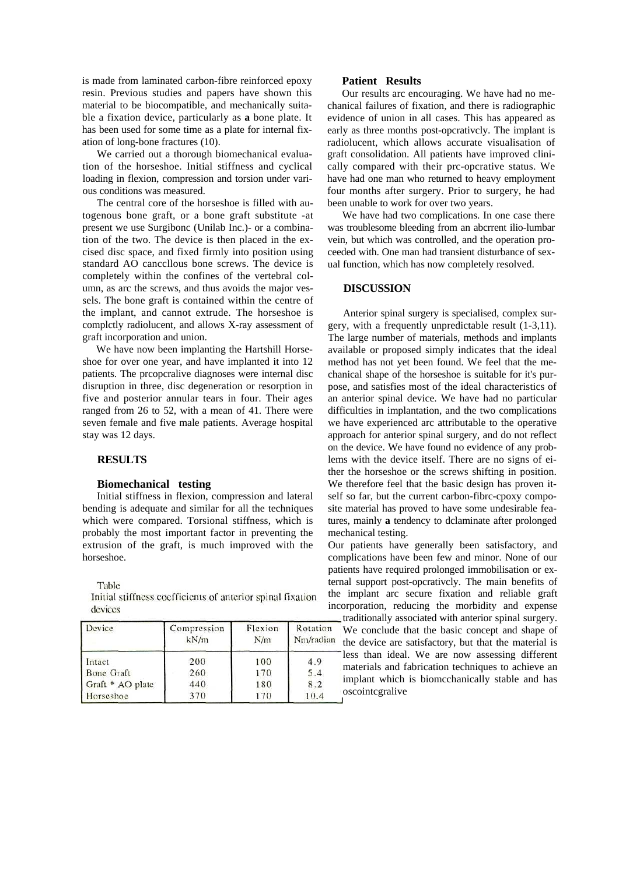is made from laminated carbon-fibre reinforced epoxy resin. Previous studies and papers have shown this material to be biocompatible, and mechanically suitable a fixation device, particularly as **a** bone plate. It has been used for some time as a plate for internal fixation of long-bone fractures (10).

We carried out a thorough biomechanical evaluation of the horseshoe. Initial stiffness and cyclical loading in flexion, compression and torsion under various conditions was measured.

The central core of the horseshoe is filled with autogenous bone graft, or a bone graft substitute -at present we use Surgibonc (Unilab Inc.)- or a combination of the two. The device is then placed in the excised disc space, and fixed firmly into position using standard AO canccllous bone screws. The device is completely within the confines of the vertebral column, as arc the screws, and thus avoids the major vessels. The bone graft is contained within the centre of the implant, and cannot extrude. The horseshoe is complctly radiolucent, and allows X-ray assessment of graft incorporation and union.

We have now been implanting the Hartshill Horseshoe for over one year, and have implanted it into 12 patients. The prcopcralive diagnoses were internal disc disruption in three, disc degeneration or resorption in five and posterior annular tears in four. Their ages ranged from 26 to 52, with a mean of 41. There were seven female and five male patients. Average hospital stay was 12 days.

## **RESULTS**

#### **Biomechanical testing**

Initial stiffness in flexion, compression and lateral bending is adequate and similar for all the techniques which were compared. Torsional stiffness, which is probably the most important factor in preventing the extrusion of the graft, is much improved with the horseshoe.

Table

Initial stiffness coefficients of anterior spinal fixation devices

| Device           | Compression<br>kN/m | Flexion<br>N/m | Rotation<br>Nm/radian |
|------------------|---------------------|----------------|-----------------------|
| Intact           | 200                 | 100            | 4.9                   |
| Bone Graft       | 260                 | 170            | 5.4                   |
| Graft * AO plate | 440                 | 180            | 8.2                   |
| Horseshoe        | 370                 | 170            | 10.4                  |

#### **Patient Results**

Our results arc encouraging. We have had no mechanical failures of fixation, and there is radiographic evidence of union in all cases. This has appeared as early as three months post-opcrativcly. The implant is radiolucent, which allows accurate visualisation of graft consolidation. All patients have improved clinically compared with their prc-opcrative status. We have had one man who returned to heavy employment four months after surgery. Prior to surgery, he had been unable to work for over two years.

We have had two complications. In one case there was troublesome bleeding from an abcrrent ilio-lumbar vein, but which was controlled, and the operation proceeded with. One man had transient disturbance of sexual function, which has now completely resolved.

### **DISCUSSION**

Anterior spinal surgery is specialised, complex surgery, with a frequently unpredictable result (1-3,11). The large number of materials, methods and implants available or proposed simply indicates that the ideal method has not yet been found. We feel that the mechanical shape of the horseshoe is suitable for it's purpose, and satisfies most of the ideal characteristics of an anterior spinal device. We have had no particular difficulties in implantation, and the two complications we have experienced arc attributable to the operative approach for anterior spinal surgery, and do not reflect on the device. We have found no evidence of any problems with the device itself. There are no signs of either the horseshoe or the screws shifting in position. We therefore feel that the basic design has proven itself so far, but the current carbon-fibrc-cpoxy composite material has proved to have some undesirable features, mainly **a** tendency to dclaminate after prolonged mechanical testing.

Our patients have generally been satisfactory, and complications have been few and minor. None of our patients have required prolonged immobilisation or external support post-opcrativcly. The main benefits of the implant arc secure fixation and reliable graft incorporation, reducing the morbidity and expense

traditionally associated with anterior spinal surgery. We conclude that the basic concept and shape of the device are satisfactory, but that the material is less than ideal. We are now assessing different materials and fabrication techniques to achieve an implant which is biomcchanically stable and has oscointcgralive